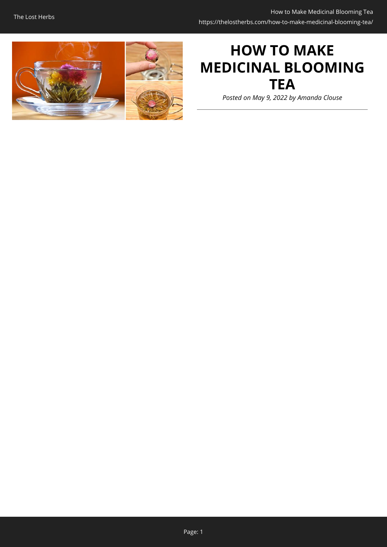

# **HOW TO MAKE MEDICINAL BLOOMING TEA**

*Posted on May 9, 2022 by Amanda Clouse*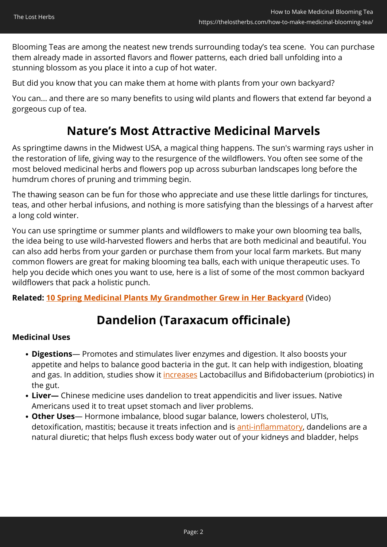Blooming Teas are among the neatest new trends surrounding today's tea scene. You can purchase them already made in assorted flavors and flower patterns, each dried ball unfolding into a stunning blossom as you place it into a cup of hot water.

But did you know that you can make them at home with plants from your own backyard?

You can... and there are so many benefits to using wild plants and flowers that extend far beyond a gorgeous cup of tea.

## **Nature's Most Attractive Medicinal Marvels**

As springtime dawns in the Midwest USA, a magical thing happens. The sun's warming rays usher in the restoration of life, giving way to the resurgence of the wildflowers. You often see some of the most beloved medicinal herbs and flowers pop up across suburban landscapes long before the humdrum chores of pruning and trimming begin.

The thawing season can be fun for those who appreciate and use these little darlings for tinctures, teas, and other herbal infusions, and nothing is more satisfying than the blessings of a harvest after a long cold winter.

You can use springtime or summer plants and wildflowers to make your own blooming tea balls, the idea being to use wild-harvested flowers and herbs that are both medicinal and beautiful. You can also add herbs from your garden or purchase them from your local farm markets. But many common flowers are great for making blooming tea balls, each with unique therapeutic uses. To help you decide which ones you want to use, here is a list of some of the most common backyard wildflowers that pack a holistic punch.

**Related: [10 Spring Medicinal Plants My Grandmother Grew in Her Backyard](https://hop.clickbank.net/?affiliate=easycellar&vendor=bookofren&tid=C02BloomingTeaMK1)** (Video)

## **Dandelion (Taraxacum officinale)**

### **Medicinal Uses**

- **Digestions** Promotes and stimulates liver enzymes and digestion. It also boosts your appetite and helps to balance good bacteria in the gut. It can help with indigestion, bloating and gas. In addition, studies show it [increases](https://apjtb.org/article.asp?issn=2221-1691;year=2020;volume=10;issue=1;spage=1;epage=10;aulast=Mahboubi) Lactobacillus and Bifidobacterium (probiotics) in the gut.
- **Liver—** Chinese medicine uses dandelion to treat appendicitis and liver issues. Native Americans used it to treat upset stomach and liver problems.
- **Other Uses** Hormone imbalance, blood sugar balance, lowers cholesterol, UTIs, detoxification, mastitis; because it treats infection and is [anti-inflammatory,](https://www.sciencedirect.com/science/article/abs/pii/S1756464619302683) dandelions are a natural diuretic; that helps flush excess body water out of your kidneys and bladder, helps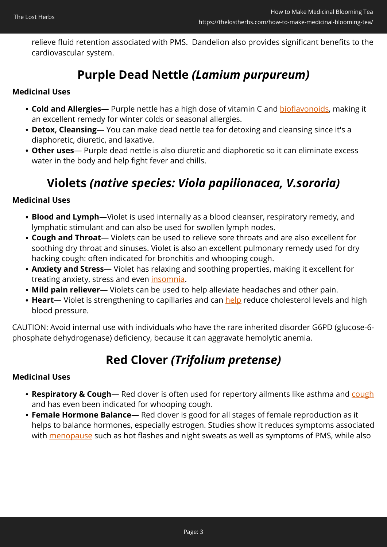relieve fluid retention associated with PMS. Dandelion also provides significant benefits to the cardiovascular system.

## **Purple Dead Nettle** *(Lamium purpureum)*

### **Medicinal Uses**

- Cold and Allergies- Purple nettle has a high dose of vitamin C and **[bioflavonoids](https://www.sciencedirect.com/science/article/abs/pii/S0960308510000520)**, making it an excellent remedy for winter colds or seasonal allergies.
- **Detox, Cleansing—** You can make dead nettle tea for detoxing and cleansing since it's a diaphoretic, diuretic, and laxative.
- **Other uses** Purple dead nettle is also diuretic and diaphoretic so it can eliminate excess water in the body and help fight fever and chills.

## **Violets** *(native species: Viola papilionacea, V.sororia)*

### **Medicinal Uses**

- **Blood and Lymph**—Violet is used internally as a blood cleanser, respiratory remedy, and lymphatic stimulant and can also be used for swollen lymph nodes.
- **Cough and Throat** Violets can be used to relieve sore throats and are also excellent for soothing dry throat and sinuses. Violet is also an excellent pulmonary remedy used for dry hacking cough: often indicated for bronchitis and whooping cough.
- **Anxiety and Stress** Violet has relaxing and soothing properties, making it excellent for treating anxiety, stress and even [insomnia](https://www.sciencedirect.com/science/article/abs/pii/S0378874117309777).
- **Mild pain reliever** Violets can be used to help alleviate headaches and other pain.
- Heart- Violet is strengthening to capillaries and can **[help](https://d1wqtxts1xzle7.cloudfront.net/57708611/8.Current_Research_in_Chemistry_Viola_Review_2-with-cover-page-v2.pdf?Expires=1651596450&Signature=IXi9eziTr-B1D9UZUFPWTcep6T7SadauaLbFm9t4D~ELdU44QzFR6ytOwg8lKxnlrPrVCVJiXumug2vwoST6sj7UUH2WakPMVmzReULpDgR6Q24JS6~UsluWW8LUPmdwvQXUygzw2fT1qG-R9yNYO7As~ttaVrg~h2ts1vXLI1krWrdWuXETBU94NPN95PTbMLLOc8loueNzkpY-ZW31IW4uLLB8dzXmbTkVT8J584Jna~BHJ-p4j0cONoUAAXTylajL-A214vT-sYRY6MRaf8QWMv7AsJ4IFDdh8reVcHiDo4z1yUPRY7SixxxJvkIZPZl2g2JDnnZ~12Z9ldappw__&Key-Pair-Id=APKAJLOHF5GGSLRBV4ZA)** reduce cholesterol levels and high blood pressure.

CAUTION: Avoid internal use with individuals who have the rare inherited disorder G6PD (glucose-6 phosphate dehydrogenase) deficiency, because it can aggravate hemolytic anemia.

## **Red Clover** *(Trifolium pretense)*

### **Medicinal Uses**

- **Respiratory & Cough** Red clover is often used for repertory ailments like asthma and [cough](https://go.gale.com/ps/i.do?id=GALE%7CA263880487&sid=googleScholar&v=2.1&it=r&linkaccess=abs&issn=08909091&p=AONE&sw=w&userGroupName=anon%7E60c46134) and has even been indicated for whooping cough.
- **Female Hormone Balance** Red clover is good for all stages of female reproduction as it helps to balance hormones, especially estrogen. Studies show it reduces symptoms associated with **[menopause](https://www.ncbi.nlm.nih.gov/pmc/articles/PMC4678495/)** such as hot flashes and night sweats as well as symptoms of PMS, while also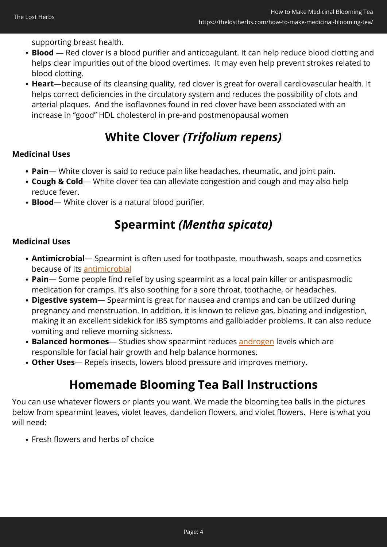supporting breast health.

- **Blood**  Red clover is a blood purifier and anticoagulant. It can help reduce blood clotting and helps clear impurities out of the blood overtimes. It may even help prevent strokes related to blood clotting.
- **Heart**—because of its cleansing quality, red clover is great for overall cardiovascular health. It helps correct deficiencies in the circulatory system and reduces the possibility of clots and arterial plaques. And the isoflavones found in red clover have been associated with an increase in "good" HDL cholesterol in pre-and postmenopausal women

## **White Clover** *(Trifolium repens)*

### **Medicinal Uses**

- **Pain** White clover is said to reduce pain like headaches, rheumatic, and joint pain.
- **Cough & Cold** White clover tea can alleviate congestion and cough and may also help reduce fever.
- **Blood** White clover is a natural blood purifier.

## **Spearmint** *(Mentha spicata)*

### **Medicinal Uses**

- **Antimicrobial** Spearmint is often used for toothpaste, mouthwash, soaps and cosmetics because of its [antimicrobial](https://www.researchgate.net/profile/Abdel-Moneim-Sulieman-2/publication/282855454_Phytochemical_Analysis_of_Local_Spearmint_Mentha_spicata_Leaves_and_Detection_of_the_Antimicrobial_Activity_of_its_Oil/links/56e12d0908ae9b93f79c459b/Phytochemical-Analysis-of-Local-Spearmint-Mentha-spicata-Leaves-and-Detection-of-the-Antimicrobial-Activity-of-its-Oil.pdf)
- **Pain** Some people find relief by using spearmint as a local pain killer or antispasmodic medication for cramps. It's also soothing for a sore throat, toothache, or headaches.
- **Digestive system** Spearmint is great for nausea and cramps and can be utilized during pregnancy and menstruation. In addition, it is known to relieve gas, bloating and indigestion, making it an excellent sidekick for IBS symptoms and gallbladder problems. It can also reduce vomiting and relieve morning sickness.
- **Balanced hormones** Studies show spearmint reduces [androgen](https://onlinelibrary.wiley.com/doi/abs/10.1002/ptr.2074) levels which are responsible for facial hair growth and help balance hormones.
- **Other Uses** Repels insects, lowers blood pressure and improves memory.

## **Homemade Blooming Tea Ball Instructions**

You can use whatever flowers or plants you want. We made the blooming tea balls in the pictures below from spearmint leaves, violet leaves, dandelion flowers, and violet flowers. Here is what you will need:

Fresh flowers and herbs of choice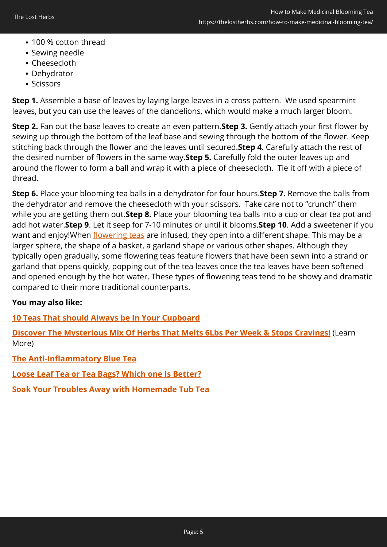- 100 % cotton thread
- Sewing needle
- Cheesecloth
- Dehydrator
- Scissors

**Step 1.** Assemble a base of leaves by laying large leaves in a cross pattern. We used spearmint leaves, but you can use the leaves of the dandelions, which would make a much larger bloom.

**Step 2.** Fan out the base leaves to create an even pattern.**Step 3.** Gently attach your first flower by sewing up through the bottom of the leaf base and sewing through the bottom of the flower. Keep stitching back through the flower and the leaves until secured.**Step 4**. Carefully attach the rest of the desired number of flowers in the same way.**Step 5.** Carefully fold the outer leaves up and around the flower to form a ball and wrap it with a piece of cheesecloth. Tie it off with a piece of thread.

**Step 6.** Place your blooming tea balls in a dehydrator for four hours.**Step 7**. Remove the balls from the dehydrator and remove the cheesecloth with your scissors. Take care not to "crunch" them while you are getting them out.**Step 8.** Place your blooming tea balls into a cup or clear tea pot and add hot water.**Step 9**. Let it seep for 7-10 minutes or until it blooms.**Step 10**. Add a sweetener if you want and enjoy!When [flowering teas](https://www.thespruceeats.com/flowering-teas-766433) are infused, they open into a different shape. This may be a larger sphere, the shape of a basket, a garland shape or various other shapes. Although they typically open gradually, some flowering teas feature flowers that have been sewn into a strand or garland that opens quickly, popping out of the tea leaves once the tea leaves have been softened and opened enough by the hot water. These types of flowering teas tend to be showy and dramatic compared to their more traditional counterparts.

### **You may also like:**

**[10 Teas That should Always be In Your Cupboard](https://thelostherbs.com/10-teas-that-should-always-be-in-your-cupboard/)**

**[Discover The Mysterious Mix Of Herbs That Melts 6Lbs Per Week & Stops Cravings!](https://hop.clickbank.net/?affiliate=easycellar&vendor=allslimtea&op=start&tid=C02BloomingTeaDST)** (Learn More)

**[The Anti-Inflammatory Blue Tea](https://thelostherbs.com/the-anti-inflammatory-blue-tea/)**

**[Loose Leaf Tea or Tea Bags? Which one Is Better?](https://thelostherbs.com/loose-leaf-tea-or-tea-bags-which-one-is-better/)**

**[Soak Your Troubles Away with Homemade Tub Tea](https://thelostherbs.com/soak-your-troubles-away-with-homemade-tub-tea/)**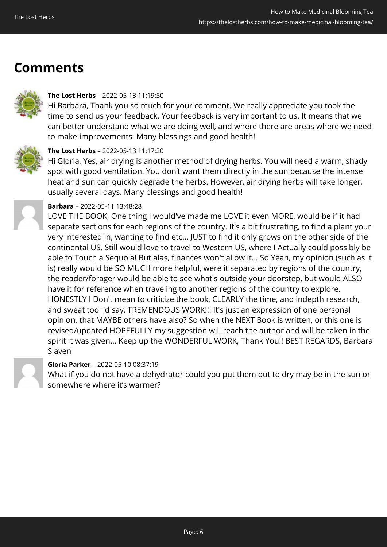## **Comments**



#### **The Lost Herbs** – 2022-05-13 11:19:50

Hi Barbara, Thank you so much for your comment. We really appreciate you took the time to send us your feedback. Your feedback is very important to us. It means that we can better understand what we are doing well, and where there are areas where we need to make improvements. Many blessings and good health!



### **The Lost Herbs** – 2022-05-13 11:17:20

Hi Gloria, Yes, air drying is another method of drying herbs. You will need a warm, shady spot with good ventilation. You don't want them directly in the sun because the intense heat and sun can quickly degrade the herbs. However, air drying herbs will take longer, usually several days. Many blessings and good health!



#### **Barbara** – 2022-05-11 13:48:28

LOVE THE BOOK, One thing I would've made me LOVE it even MORE, would be if it had separate sections for each regions of the country. It's a bit frustrating, to find a plant your very interested in, wanting to find etc... JUST to find it only grows on the other side of the continental US. Still would love to travel to Western US, where I Actually could possibly be able to Touch a Sequoia! But alas, finances won't allow it... So Yeah, my opinion (such as it is) really would be SO MUCH more helpful, were it separated by regions of the country, the reader/forager would be able to see what's outside your doorstep, but would ALSO have it for reference when traveling to another regions of the country to explore. HONESTLY I Don't mean to criticize the book, CLEARLY the time, and indepth research, and sweat too I'd say, TREMENDOUS WORK!!! It's just an expression of one personal opinion, that MAYBE others have also? So when the NEXT Book is written, or this one is revised/updated HOPEFULLY my suggestion will reach the author and will be taken in the spirit it was given... Keep up the WONDERFUL WORK, Thank You!! BEST REGARDS, Barbara Slaven

### **Gloria Parker** – 2022-05-10 08:37:19

What if you do not have a dehydrator could you put them out to dry may be in the sun or somewhere where it's warmer?